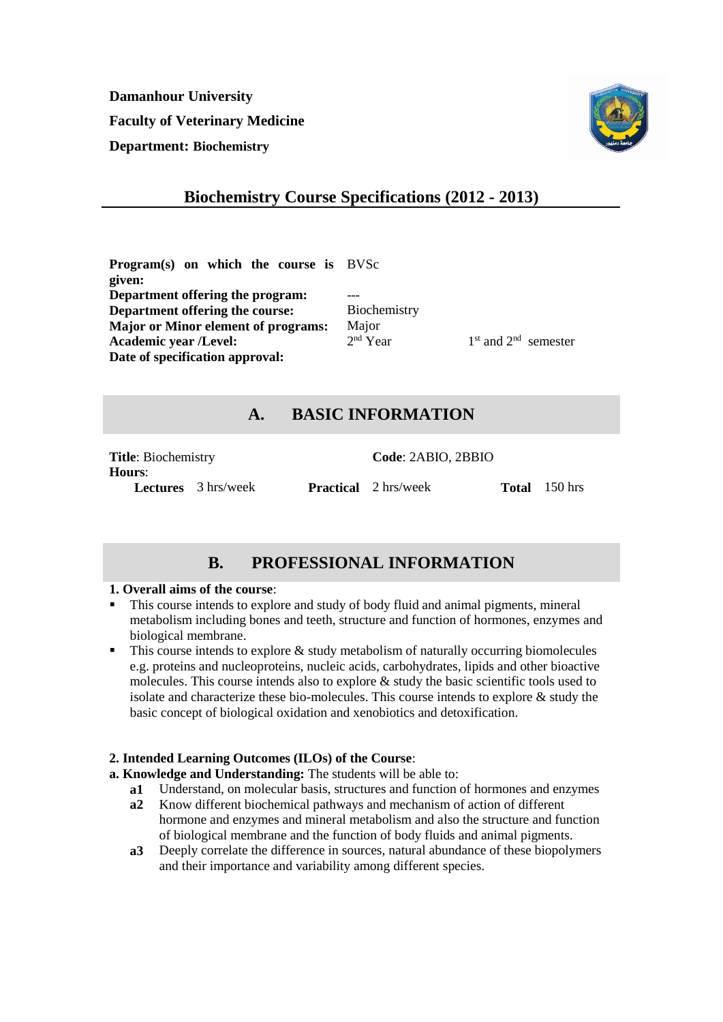**Damanhour University Faculty of Veterinary Medicine Department: Biochemistry**



# **Biochemistry Course Specifications (2012 - 2013)**

**Program(s) on which the course is**  BVSc **given: Department offering the program:** --- **Department offering the course:** Biochemistry **Major or Minor element of programs:** Major **Academic year /Level:** 2  $2<sup>nd</sup>$  Year  $1<sup>st</sup>$  and  $2<sup>nd</sup>$  semester **Date of specification approval:**

# **A. BASIC INFORMATION**

**Title**: Biochemistry **Code**: 2ABIO, 2BBIO **Hours**: **Lectures** 3 hrs/week **Practical** 2 hrs/week **Total** 150 hrs

# **B. PROFESSIONAL INFORMATION**

## **1. Overall aims of the course**:

- This course intends to explore and study of body fluid and animal pigments, mineral metabolism including bones and teeth, structure and function of hormones, enzymes and biological membrane.
- This course intends to explore & study metabolism of naturally occurring biomolecules e.g. proteins and nucleoproteins, nucleic acids, carbohydrates, lipids and other bioactive molecules. This course intends also to explore & study the basic scientific tools used to isolate and characterize these bio-molecules. This course intends to explore & study the basic concept of biological oxidation and xenobiotics and detoxification.

## **2. Intended Learning Outcomes (ILOs) of the Course**:

- **a. Knowledge and Understanding:** The students will be able to:
	- **a1** Understand, on molecular basis, structures and function of hormones and enzymes
	- **a2** Know different biochemical pathways and mechanism of action of different hormone and enzymes and mineral metabolism and also the structure and function of biological membrane and the function of body fluids and animal pigments.
	- **a3** Deeply correlate the difference in sources, natural abundance of these biopolymers and their importance and variability among different species.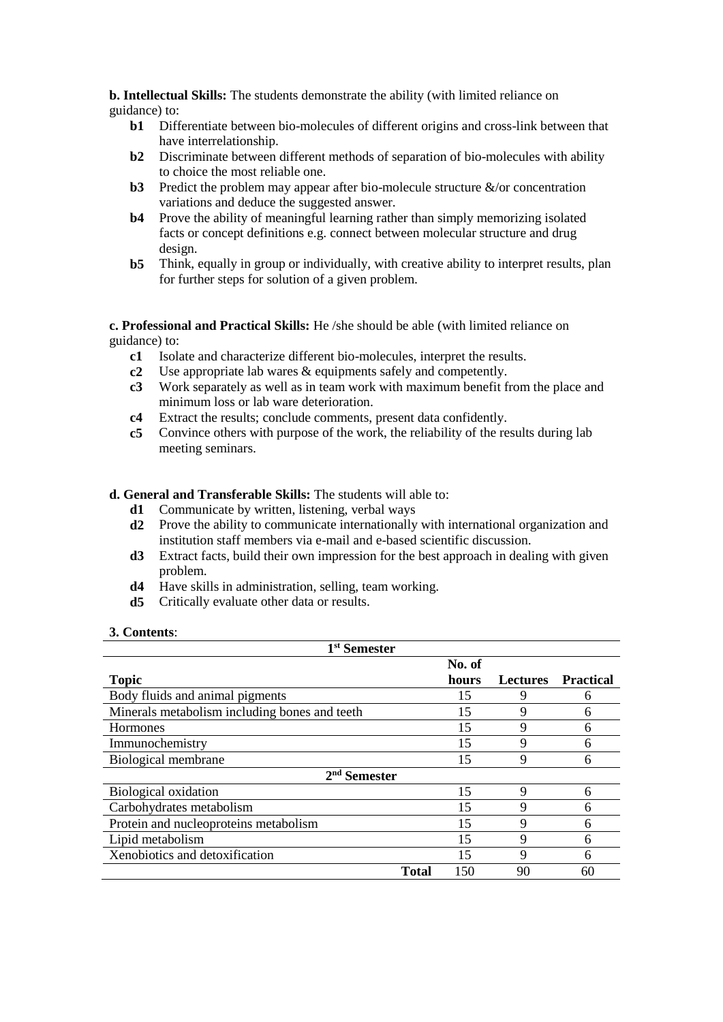**b. Intellectual Skills:** The students demonstrate the ability (with limited reliance on guidance) to:

- **b1** Differentiate between bio-molecules of different origins and cross-link between that have interrelationship.
- **b2** Discriminate between different methods of separation of bio-molecules with ability to choice the most reliable one.
- **b3** Predict the problem may appear after bio-molecule structure &/or concentration variations and deduce the suggested answer.
- **b4** Prove the ability of meaningful learning rather than simply memorizing isolated facts or concept definitions e.g. connect between molecular structure and drug design.
- **b5** Think, equally in group or individually, with creative ability to interpret results, plan for further steps for solution of a given problem.

**c. Professional and Practical Skills:** He /she should be able (with limited reliance on guidance) to:

- **c1** Isolate and characterize different bio-molecules, interpret the results.
- **c2** Use appropriate lab wares & equipments safely and competently.
- **c3** Work separately as well as in team work with maximum benefit from the place and minimum loss or lab ware deterioration.
- **c4** Extract the results; conclude comments, present data confidently.
- **c5** Convince others with purpose of the work, the reliability of the results during lab meeting seminars.

### **d. General and Transferable Skills:** The students will able to:

- **d1** Communicate by written, listening, verbal ways
- **d2** Prove the ability to communicate internationally with international organization and institution staff members via e-mail and e-based scientific discussion.
- **d3** Extract facts, build their own impression for the best approach in dealing with given problem.
- **d4** Have skills in administration, selling, team working.
- **d5** Critically evaluate other data or results.

#### **3. Contents**:

| 1 <sup>st</sup> Semester                      |                     |                 |                  |  |  |
|-----------------------------------------------|---------------------|-----------------|------------------|--|--|
|                                               | No. of              |                 |                  |  |  |
| <b>Topic</b>                                  | hours               | <b>Lectures</b> | <b>Practical</b> |  |  |
| Body fluids and animal pigments               | 15                  | 9               | 6                |  |  |
| Minerals metabolism including bones and teeth | 15                  | 9               | 6                |  |  |
| <b>Hormones</b>                               | 15                  | 9               | 6                |  |  |
| Immunochemistry                               | 15                  | 9               | 6                |  |  |
| Biological membrane                           | 15                  | 9               | 6                |  |  |
| $2nd$ Semester                                |                     |                 |                  |  |  |
| <b>Biological oxidation</b>                   | 15                  | 9               | 6                |  |  |
| Carbohydrates metabolism                      | 15                  | 9               | 6                |  |  |
| Protein and nucleoproteins metabolism         | 15                  | 9               | 6                |  |  |
| Lipid metabolism                              | 15                  | 9               | 6                |  |  |
| Xenobiotics and detoxification                | 15                  | 9               | 6                |  |  |
|                                               | <b>Total</b><br>150 | 90              | 60               |  |  |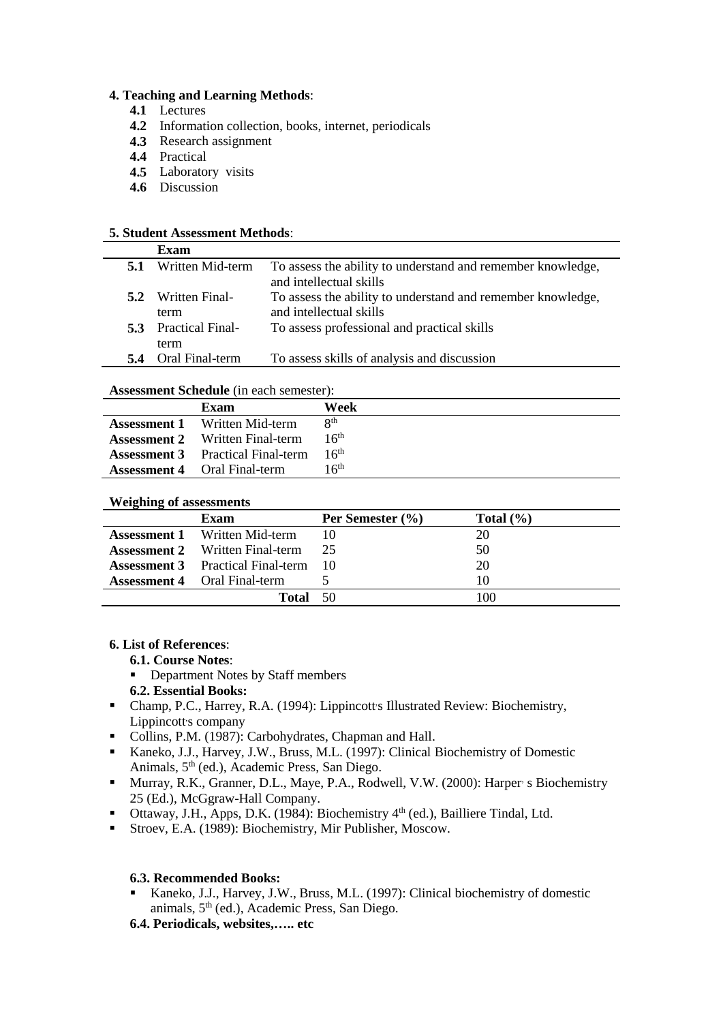### **4. Teaching and Learning Methods**:

- **4.1** Lectures
- **4.2** Information collection, books, internet, periodicals
- **4.3** Research assignment
- **4.4** Practical
- **4.5** Laboratory visits
- **4.6** Discussion

### **5. Student Assessment Methods**:

|     | Exam                    |                                                             |
|-----|-------------------------|-------------------------------------------------------------|
|     | Written Mid-term        | To assess the ability to understand and remember knowledge, |
|     |                         | and intellectual skills                                     |
| 5.2 | <b>Written Final-</b>   | To assess the ability to understand and remember knowledge, |
|     | term                    | and intellectual skills                                     |
| 5.3 | <b>Practical Final-</b> | To assess professional and practical skills                 |
|     | term                    |                                                             |
| 5.4 | <b>Oral Final-term</b>  | To assess skills of analysis and discussion                 |

#### **Assessment Schedule** (in each semester):

| $\mathsf{R}^{\text{th}}$<br><b>Assessment 1</b> Written Mid-term<br>16 <sup>th</sup><br><b>Assessment 2</b> Written Final-term<br>16 <sup>th</sup><br><b>Assessment 3</b> Practical Final-term<br>16 <sup>th</sup><br><b>Assessment 4</b> Oral Final-term | Exam | Week |
|-----------------------------------------------------------------------------------------------------------------------------------------------------------------------------------------------------------------------------------------------------------|------|------|
|                                                                                                                                                                                                                                                           |      |      |
|                                                                                                                                                                                                                                                           |      |      |
|                                                                                                                                                                                                                                                           |      |      |
|                                                                                                                                                                                                                                                           |      |      |

### **Weighing of assessments**

| Exam                                        | Per Semester $(\% )$ | Total $(\% )$ |
|---------------------------------------------|----------------------|---------------|
| <b>Assessment 1</b> Written Mid-term        | 10                   | 20            |
| <b>Assessment 2</b> Written Final-term      | 25                   | 50            |
| <b>Assessment 3</b> Practical Final-term 10 |                      | 20            |
| <b>Assessment 4</b> Oral Final-term         |                      | 10            |
| Total 50                                    |                      | 100           |

# **6. List of References**:

- **6.1. Course Notes**:
- Department Notes by Staff members
- **6.2. Essential Books:**
- Champ, P.C., Harrey, R.A. (1994): Lippincotts Illustrated Review: Biochemistry, Lippincott<sub>'s</sub> company
- Collins, P.M. (1987): Carbohydrates, Chapman and Hall.
- Kaneko, J.J., Harvey, J.W., Bruss, M.L. (1997): Clinical Biochemistry of Domestic Animals, 5th (ed.), Academic Press, San Diego.
- Murray, R.K., Granner, D.L., Maye, P.A., Rodwell, V.W. (2000): Harper s Biochemistry 25 (Ed.), McGgraw-Hall Company.
- Ottaway, J.H., Apps, D.K. (1984): Biochemistry 4th (ed.), Bailliere Tindal, Ltd.
- Stroev, E.A. (1989): Biochemistry, Mir Publisher, Moscow.

## **6.3. Recommended Books:**

- Kaneko, J.J., Harvey, J.W., Bruss, M.L. (1997): Clinical biochemistry of domestic animals, 5th (ed.), Academic Press, San Diego.
- **6.4. Periodicals, websites,….. etc**